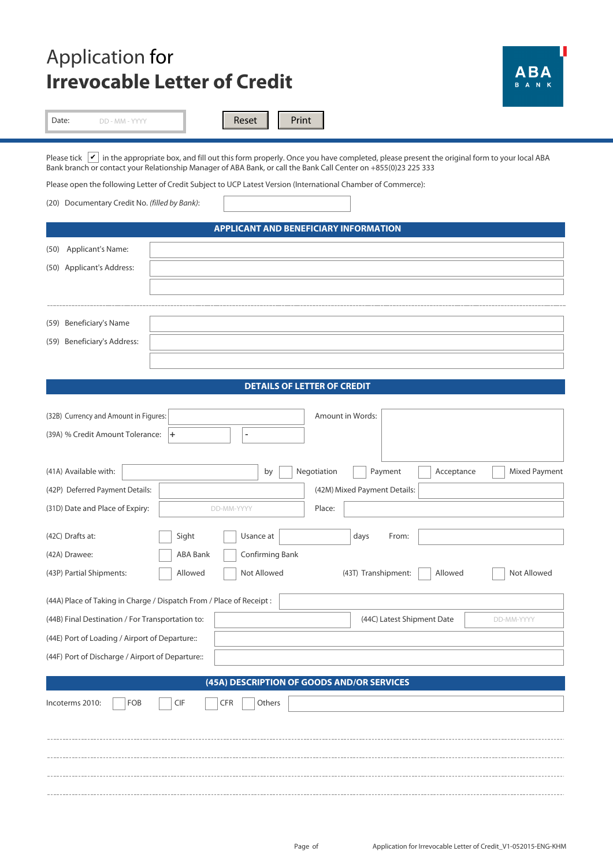## Application for ABA **Irrevocable Letter of Credit** Reset | Print Date: DD - MM - YYYY Please tick  $|\mathbf{v}|$  in the appropriate box, and fill out this form properly. Once you have completed, please present the original form to your local ABA Bank branch or contact your Relationship Manager of ABA Bank, or call the Bank Call Center on +855(0)23 225 333 Please open the following Letter of Credit Subject to UCP Latest Version (International Chamber of Commerce): (20) Documentary Credit No. *(filled by Bank)*: **APPLICANT AND BENEFICIARY INFORMATION** (50) Applicant's Name: (50) Applicant's Address: (59) Beneficiary's Name (59) Beneficiary's Address: **DETAILS OF LETTER OF CREDIT** Amount in Words: (32B) Currency and Amount in Figures: % Credit Amount Tolerance: (39A) **+**  by Negotiation | Payment | Acceptance Mixed Payment (41A) Available with: (42P) Deferred Payment Details: (42M) Mixed Payment Details: DD-MM-YYYY Place: (31D) Date and Place of Expiry: Sight Usance at days From: (42C) Drafts at: ABA Bank Confirming Bank (42A) Drawee: (43P) Partial Shipments: Partial Shipments: 
Allowed | Allowed | Not Allowed (43T) Transhipment: | Allowed | Not Allowed (44A) Place of Taking in Charge / Dispatch From / Place of Receipt : (44B) Final Destination / For Transportation to: (44C) Latest Shipment Date DD-MM-YYYY (44E) Port of Loading / Airport of Departure:: (44F) Port of Discharge / Airport of Departure:: **(45A) DESCRIPTION OF GOODS AND/OR SERVICES** Incoterms 2010: FOB CIF CFR Others